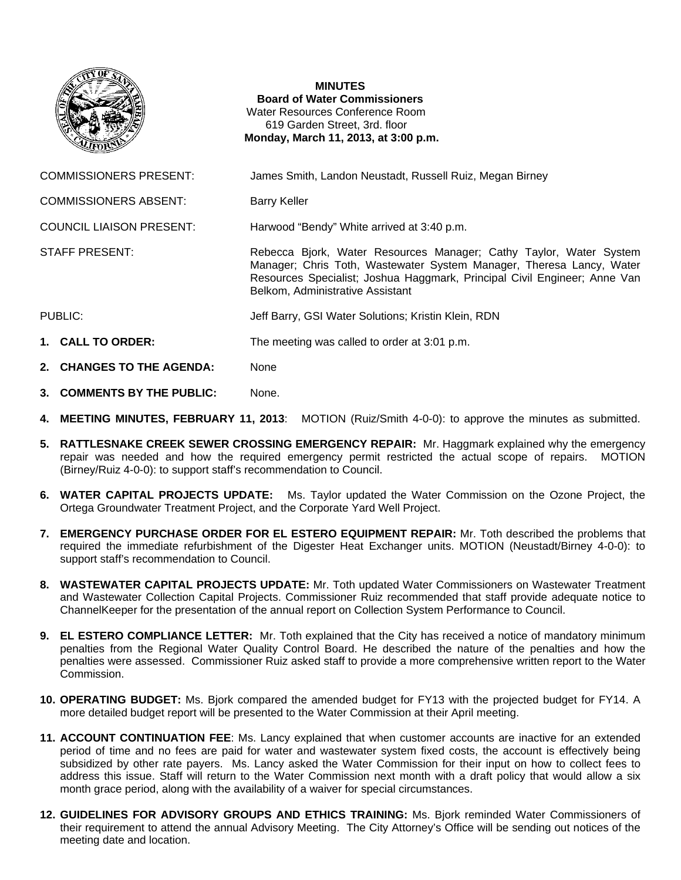

## **MINUTES**

**Board of Water Commissioners**  Water Resources Conference Room 619 Garden Street, 3rd. floor  **Monday, March 11, 2013, at 3:00 p.m.** 

COMMISSIONERS PRESENT: James Smith, Landon Neustadt, Russell Ruiz, Megan Birney

COMMISSIONERS ABSENT: Barry Keller

COUNCIL LIAISON PRESENT: Harwood "Bendy" White arrived at 3:40 p.m.

STAFF PRESENT: **Rebecca Bjork, Water Resources Manager**; Cathy Taylor, Water System Manager; Chris Toth, Wastewater System Manager, Theresa Lancy, Water Resources Specialist; Joshua Haggmark, Principal Civil Engineer; Anne Van Belkom, Administrative Assistant

- PUBLIC: The Solutions: Kristin Klein, RDN Jeff Barry, GSI Water Solutions; Kristin Klein, RDN
- **1. CALL TO ORDER:** The meeting was called to order at 3:01 p.m.
- 2. CHANGES TO THE AGENDA: None
- **3. COMMENTS BY THE PUBLIC:** None.
- **4. MEETING MINUTES, FEBRUARY 11, 2013**: MOTION (Ruiz/Smith 4-0-0): to approve the minutes as submitted.
- **5. RATTLESNAKE CREEK SEWER CROSSING EMERGENCY REPAIR:** Mr. Haggmark explained why the emergency repair was needed and how the required emergency permit restricted the actual scope of repairs. MOTION (Birney/Ruiz 4-0-0): to support staff's recommendation to Council.
- **6. WATER CAPITAL PROJECTS UPDATE:** Ms. Taylor updated the Water Commission on the Ozone Project, the Ortega Groundwater Treatment Project, and the Corporate Yard Well Project.
- **7. EMERGENCY PURCHASE ORDER FOR EL ESTERO EQUIPMENT REPAIR:** Mr. Toth described the problems that required the immediate refurbishment of the Digester Heat Exchanger units. MOTION (Neustadt/Birney 4-0-0): to support staff's recommendation to Council.
- **8. WASTEWATER CAPITAL PROJECTS UPDATE:** Mr. Toth updated Water Commissioners on Wastewater Treatment and Wastewater Collection Capital Projects. Commissioner Ruiz recommended that staff provide adequate notice to ChannelKeeper for the presentation of the annual report on Collection System Performance to Council.
- **9. EL ESTERO COMPLIANCE LETTER:** Mr. Toth explained that the City has received a notice of mandatory minimum penalties from the Regional Water Quality Control Board. He described the nature of the penalties and how the penalties were assessed. Commissioner Ruiz asked staff to provide a more comprehensive written report to the Water Commission.
- **10. OPERATING BUDGET:** Ms. Bjork compared the amended budget for FY13 with the projected budget for FY14. A more detailed budget report will be presented to the Water Commission at their April meeting.
- **11. ACCOUNT CONTINUATION FEE**: Ms. Lancy explained that when customer accounts are inactive for an extended period of time and no fees are paid for water and wastewater system fixed costs, the account is effectively being subsidized by other rate payers. Ms. Lancy asked the Water Commission for their input on how to collect fees to address this issue. Staff will return to the Water Commission next month with a draft policy that would allow a six month grace period, along with the availability of a waiver for special circumstances.
- **12. GUIDELINES FOR ADVISORY GROUPS AND ETHICS TRAINING:** Ms. Bjork reminded Water Commissioners of their requirement to attend the annual Advisory Meeting. The City Attorney's Office will be sending out notices of the meeting date and location.